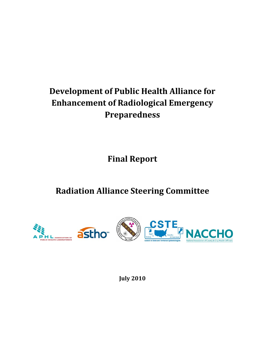# **Development of Public Health Alliance for Enhancement of Radiological Emergency Preparedness**

**Final Report**

**Radiation Alliance Steering Committee**



**July 2010**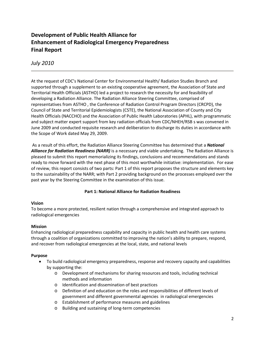## **Development of Public Health Alliance for Enhancement of Radiological Emergency Preparedness Final Report**

### *July 2010*

At the request of CDC's National Center for Environmental Health/ Radiation Studies Branch and supported through a supplement to an existing cooperative agreement, the Association of State and Territorial Health Officials (ASTHO) led a project to research the necessity for and feasibility of developing a Radiation Alliance. The Radiation Alliance Steering Committee, comprised of representatives from ASTHO , the Conference of Radiation Control Program Directors (CRCPD), the Council of State and Territorial Epidemiologists (CSTE), the National Association of County and City Health Officials (NACCHO) and the Association of Public Health Laboratories (APHL), with programmatic and subject matter expert support from key radiation officials from CDC/NHEH/RSB s was convened in June 2009 and conducted requisite research and deliberation to discharge its duties in accordance with the Scope of Work dated May 29, 2009.

As a result of this effort, the Radiation Alliance Steering Committee has determined that a *National Alliance for Radiation Readiness (NARR)* is a necessary and viable undertaking. The Radiation Alliance is pleased to submit this report memorializing its findings, conclusions and recommendations and stands ready to move forward with the next phase of this most worthwhile initiative: implementation. For ease of review, this report consists of two parts: Part 1 of this report proposes the structure and elements key to the sustainability of the NARR; with Part 2 providing background on the processes employed over the past year by the Steering Committee in the examination of this issue.

#### **Part 1: National Alliance for Radiation Readiness**

#### **Vision**

To become a more protected, resilient nation through a comprehensive and integrated approach to radiological emergencies

#### **Mission**

Enhancing radiological preparedness capability and capacity in public health and health care systems through a coalition of organizations committed to improving the nation's ability to prepare, respond, and recover from radiological emergencies at the local, state, and national levels

#### **Purpose**

- To build radiological emergency preparedness, response and recovery capacity and capabilities by supporting the:
	- o Development of mechanisms for sharing resources and tools, including technical methods and information
	- o Identification and dissemination of best practices
	- o Definition of and education on the roles and responsibilities of different levels of government and different governmental agencies in radiological emergencies
	- o Establishment of performance measures and guidelines
	- o Building and sustaining of long-term competencies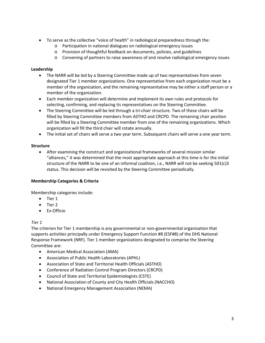- To serve as the collective "voice of health" in radiological preparedness through the:
	- o Participation in national dialogues on radiological emergency issues
	- o Provision of thoughtful feedback on documents, policies, and guidelines
	- o Convening of partners to raise awareness of and resolve radiological emergency issues

#### **Leadership**

- The NARR will be led by a Steering Committee made up of two representatives from seven designated Tier 1 member organizations. One representative from each organization must be a member of the organization, and the remaining representative may be either a staff person or a member of the organization.
- Each member organization will determine and implement its own rules and protocols for selecting, confirming, and replacing its representatives on the Steering Committee.
- The Steering Committee will be led through a tri-chair structure. Two of these chairs will be filled by Steering Committee members from ASTHO and CRCPD. The remaining chair position will be filled by a Steering Committee member from one of the remaining organizations. Which organization will fill the third chair will rotate annually.
- The initial set of chairs will serve a two year term. Subsequent chairs will serve a one year term.

#### **Structure**

• After examining the construct and organizational frameworks of several mission similar "alliances," it was determined that the most appropriate approach at this time is for the initial structure of the NARR to be one of an informal coalition, i.e., NARR will not be seeking 501(c)3 status. This decision will be revisited by the Steering Committee periodically.

#### **Membership Categories & Criteria**

Membership categories include:

- Tier 1
- Tier 2
- Ex-Officio

#### *Tier 1*

The criterion for Tier 1 membership is any governmental or non-governmental organization that supports activities principally under Emergency Support Function #8 (ESF#8) of the DHS National Response Framework (NRF). Tier 1 member organizations designated to comprise the Steering Committee are:

- American Medical Association (AMA)
- Association of Public Health Laboratories (APHL)
- Association of State and Territorial Health Officials (ASTHO)
- Conference of Radiation Control Program Directors (CRCPD)
- Council of State and Territorial Epidemiologists (CSTE)
- National Association of County and City Health Officials (NACCHO)
- National Emergency Management Association (NEMA)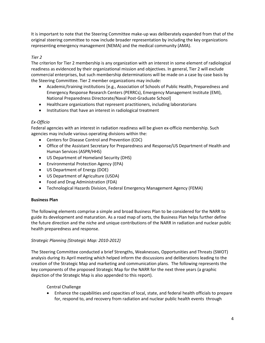It is important to note that the Steering Committee make-up was deliberately expanded from that of the original steering committee to now include broader representation by including the key organizations representing emergency management (NEMA) and the medical community (AMA).

#### *Tier 2*

The criterion for Tier 2 membership is any organization with an interest in some element of radiological readiness as evidenced by their organizational mission and objectives. In general, Tier 2 will exclude commercial enterprises, but such membership determinations will be made on a case by case basis by the Steering Committee. Tier 2 member organizations may include:

- Academic/training institutions [e.g., Association of Schools of Public Health, Preparedness and Emergency Response Research Centers (PERRCs), Emergency Management Institute (EMI), National Preparedness Directorate/Naval Post-Graduate School]
- Healthcare organizations that represent practitioners, including laboratorians
- Institutions that have an interest in radiological treatment

#### *Ex-Officio*

Federal agencies with an interest in radiation readiness will be given ex-officio membership. Such agencies may include various operating divisions within the:

- Centers for Disease Control and Prevention (CDC)
- Office of the Assistant Secretary for Preparedness and Response/US Department of Health and Human Services (ASPR/HHS)
- US Department of Homeland Security (DHS)
- Environmental Protection Agency (EPA)
- US Department of Energy (DOE)
- US Department of Agriculture (USDA)
- Food and Drug Administration (FDA)
- Technological Hazards Division, Federal Emergency Management Agency (FEMA)

#### **Business Plan**

The following elements comprise a simple and broad Business Plan to be considered for the NARR to guide its development and maturation. As a road map of sorts, the Business Plan helps further define the future direction and the niche and unique contributions of the NARR in radiation and nuclear public health preparedness and response.

#### *Strategic Planning (Strategic Map: 2010-2012)*

The Steering Committee conducted a brief Strengths, Weaknesses, Opportunities and Threats (SWOT) analysis during its April meeting which helped inform the discussions and deliberations leading to the creation of the Strategic Map and marketing and communication plans. The following represents the key components of the proposed Strategic Map for the NARR for the next three years (a graphic depiction of the Strategic Map is also appended to this report).

Central Challenge

• Enhance the capabilities and capacities of local, state, and federal health officials to prepare for, respond to, and recovery from radiation and nuclear public health events through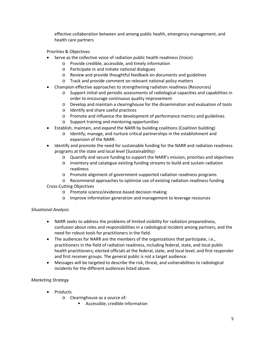effective collaboration between and among public health, emergency management, and health care partners

Priorities & Objectives

- Serve as the collective voice of radiation public health readiness (Voice)
	- o Provide credible, accessible, and timely information
	- o Participate in and initiate national dialogues
	- o Review and provide thoughtful feedback on documents and guidelines
	- o Track and provide comment on relevant national policy matters
- Champion effective approaches to strengthening radiation readiness (Resources)
	- o Support initial and periodic assessments of radiological capacities and capabilities in order to encourage continuous quality improvement
	- o Develop and maintain a clearinghouse for the dissemination and evaluation of tools
	- o Identify and share useful practices
	- o Promote and influence the development of performance metrics and guidelines
	- o Support training and mentoring opportunities
- Establish, maintain, and expand the NARR by building coalitions (Coalition building)
	- o Identify, manage, and nurture critical partnerships in the establishment and expansion of the NARR.
- Identify and promote the need for sustainable funding for the NARR and radiation readiness programs at the state and local level (Sustainability)
	- o Quantify and secure funding to support the NARR's mission, priorities and objectives
	- o Inventory and catalogue existing funding streams to build and sustain radiation readiness
	- o Promote alignment of government-supported radiation readiness programs
	- o Recommend approaches to optimize use of existing radiation readiness funding
- Cross-Cutting Objectives
	- o Promote science/evidence-based decision making
	- o Improve information generation and management to leverage resources

#### *Situational Analysis*

- NARR seeks to address the problems of limited visibility for radiation preparedness, confusion about roles and responsibilities in a radiological incident among partners, and the need for robust tools for practitioners in the field.
- The audiences for NARR are the members of the organizations that participate, i.e., practitioners in the field of radiation readiness, including federal, state, and local public health practitioners; elected officials at the federal, state, and local level; and first responder and first receiver groups. The general public is not a target audience.
- Messages will be targeted to describe the risk, threat, and vulnerabilities to radiological incidents for the different audiences listed above.

#### *Marketing Strategy*

- Products
	- o Clearinghouse as a source of:
		- **Accessible, credible information**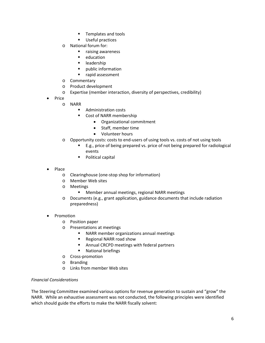- **Templates and tools**
- **Useful practices**
- o National forum for:
	- **F** raising awareness
	- education
	- leadership
	- public information
	- **F** rapid assessment
- o Commentary
- o Product development
- o Expertise (member interaction, diversity of perspectives, credibility)
- Price
	- o NARR
		- **Administration costs**
		- **Cost of NARR membership** 
			- Organizational commitment
			- Staff, member time
			- Volunteer hours
	- o Opportunity costs: costs to end-users of using tools vs. costs of not using tools
		- E.g., price of being prepared vs. price of not being prepared for radiological events
		- **Political capital**
- Place
	- o Clearinghouse (one-stop shop for information)
	- o Member Web sites
	- o Meetings<br>N M
		- Member annual meetings, regional NARR meetings
	- o Documents (e.g., grant application, guidance documents that include radiation preparedness)
- Promotion
	- o Position paper
	- o Presentations at meetings
		- **NARR** member organizations annual meetings
		- Regional NARR road show
		- **Annual CRCPD meetings with federal partners**
		- **National briefings**
	- o Cross-promotion
	- o Branding
	- o Links from member Web sites

#### *Financial Considerations*

The Steering Committee examined various options for revenue generation to sustain and "grow" the NARR. While an exhaustive assessment was not conducted, the following principles were identified which should guide the efforts to make the NARR fiscally solvent: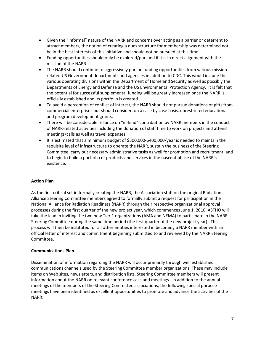- Given the "informal" nature of the NARR and concerns over acting as a barrier or deterrent to attract members, the notion of creating a dues structure for membership was determined not be in the best interests of this initiative and should not be pursued at this time.
- Funding opportunities should only be explored/pursued if it is in direct alignment with the mission of the NARR.
- The NARR should continue to aggressively pursue funding opportunities from various mission related US Government departments and agencies in addition to CDC. This would include the various operating divisions within the Department of Homeland Security as well as possibly the Departments of Energy and Defense and the US Environmental Protection Agency. It is felt that the potential for successful supplemental funding will be greatly increased once the NARR is officially established and its portfolio is created.
- To avoid a perception of conflict of interest, the NARR should not pursue donations or gifts from commercial enterprises but should consider, on a case by case basis, unrestricted educational and program development grants.
- There will be considerable reliance on "in-kind" contribution by NARR members in the conduct of NARR-related activities including the donation of staff time to work on projects and attend meetings/calls as well as travel expenses.
- It is estimated that a minimum budget of \$300,000-\$400,000/year is needed to maintain the requisite level of infrastructure to operate the NARR, sustain the business of the Steering Committee, carry out necessary administrative tasks as well for promotion and recruitment, and to begin to build a portfolio of products and services in the nascent phase of the NARR's existence.

#### **Action Plan**

As the first critical set in formally creating the NARR, the Association staff on the original Radiation Alliance Steering Committee members agreed to formally submit a request for participation in the National Alliance for Radiation Readiness (NARR) through their respective organizational approval processes during the first quarter of the new project year, which commences June 1, 2010. ASTHO will take the lead in inviting the two new Tier 1 organizations (AMA and NEMA) to participate in the NARR Steering Committee during the same time period (the first quarter of the new project year). This process will then be instituted for all other entities interested in becoming a NARR member with an official letter of interest and commitment beginning submitted to and reviewed by the NARR Steering Committee.

#### **Communications Plan**

Dissemination of information regarding the NARR will occur primarily through well established communications channels used by the Steering Committee member organizations. These may include items on Web sites, newsletters, and distribution lists. Steering Committee members will present information about the NARR on relevant conference calls and meetings. In addition to the annual meetings of the members of the Steering Committee associations, the following special purpose meetings have been identified as excellent opportunities to promote and advance the activities of the NARR: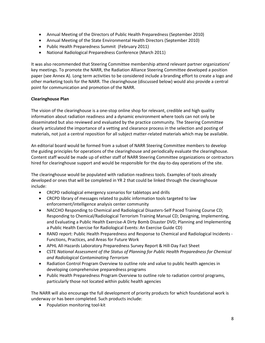- Annual Meeting of the Directors of Public Health Preparedness (September 2010)
- Annual Meeting of the State Environmental Health Directors (September 2010)
- Public Health Preparedness Summit (February 2011)
- National Radiological Preparedness Conference (March 2011)

It was also recommended that Steering Committee membership attend relevant partner organizations' key meetings. To promote the NARR, the Radiation Alliance Steering Committee developed a position paper (see Annex A). Long term activities to be considered include a branding effort to create a logo and other marketing tools for the NARR. The clearinghouse (discussed below) would also provide a central point for communication and promotion of the NARR.

#### **Clearinghouse Plan**

The vision of the clearinghouse is a one-stop online shop for relevant, credible and high quality information about radiation readiness and a dynamic environment where tools can not only be disseminated but also reviewed and evaluated by the practice community. The Steering Committee clearly articulated the importance of a vetting and clearance process in the selection and posting of materials, not just a central reposition for all subject matter-related materials which may be available.

An editorial board would be formed from a subset of NARR Steering Committee members to develop the guiding principles for operations of the clearinghouse and periodically evaluate the clearinghouse. Content staff would be made up of either staff of NARR Steering Committee organizations or contractors hired for clearinghouse support and would be responsible for the day-to-day operations of the site.

The clearinghouse would be populated with radiation readiness tools. Examples of tools already developed or ones that will be completed in YR 2 that could be linked through the clearinghouse include:

- CRCPD radiological emergency scenarios for tabletops and drills
- CRCPD library of messages related to public information tools targeted to law enforcement/intelligence analysis center community
- NACCHO Responding to Chemical and Radiological Disasters-Self Paced Training Course CD; Responding to Chemical/Radiological Terrorism Training Manual CD; Designing, Implementing, and Evaluating a Public Health Exercise-A Dirty Bomb Disaster DVD; Planning and Implementing a Public Health Exercise for Radiological Events: An Exercise Guide CD)
- RAND report: Public Health Preparedness and Response to Chemical and Radiological Incidents Functions, Practices, and Areas for Future Work
- APHL All-Hazards Laboratory Preparedness Survey Report & Hill-Day Fact Sheet
- CSTE *National Assessment of the Status of Planning for Public Health Preparedness for Chemical and Radiological Contaminating Terrorism*
- Radiation Control Program Overview to outline role and value to public health agencies in developing comprehensive preparedness programs
- Public Health Preparedness Program Overview to outline role to radiation control programs, particularly those not located within public health agencies

The NARR will also encourage the full development of priority products for which foundational work is underway or has been completed. Such products include:

• Population monitoring tool-kit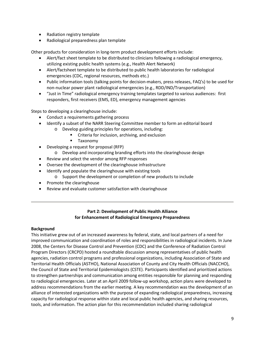- Radiation registry template
- Radiological preparedness plan template

Other products for consideration in long-term product development efforts include:

- Alert/fact sheet template to be distributed to clinicians following a radiological emergency, utilizing existing public health systems (e.g., Health Alert Network)
- Alert/factsheet template to be distributed to public health laboratories for radiological emergencies (CDC, regional resources, methods etc.)
- Public information tools (talking points for decision-makers, press releases, FAQ's) to be used for non-nuclear power plant radiological emergencies (e.g., RDD/IND/Transportation)
- "Just in Time" radiological emergency training templates targeted to various audiences: first responders, first receivers (EMS, ED), emergency management agencies

Steps to developing a clearinghouse include:

- Conduct a requirements gathering process
- Identify a subset of the NARR Steering Committee member to form an editorial board o Develop guiding principles for operations, including:
	- Criteria for inclusion, archiving, and exclusion
	- **Taxonomy**
- Developing a request for proposal (RFP)
	- o Develop and incorporating branding efforts into the clearinghouse design
- Review and select the vendor among RFP responses
- Oversee the development of the clearinghouse infrastructure
- Identify and populate the clearinghouse with existing tools
	- o Support the development or completion of new products to include
- Promote the clearinghouse
- Review and evaluate customer satisfaction with clearinghouse

#### **Part 2: Development of Public Health Alliance for Enhancement of Radiological Emergency Preparedness**

#### **Background**

This initiative grew out of an increased awareness by federal, state, and local partners of a need for improved communication and coordination of roles and responsibilities in radiological incidents. In June 2008, the Centers for Disease Control and Prevention (CDC) and the Conference of Radiation Control Program Directors (CRCPD) hosted a roundtable discussion among representatives of public health agencies, radiation control programs and professional organizations, including Association of State and Territorial Health Officials (ASTHO), National Association of County and City Health Officials (NACCHO), the Council of State and Territorial Epidemiologists (CSTE). Participants identified and prioritized actions to strengthen partnerships and communication among entities responsible for planning and responding to radiological emergencies. Later at an April 2009 follow-up workshop, action plans were developed to address recommendations from the earlier meeting. A key recommendation was the development of an alliance of interested organizations with the purpose of expanding radiological preparedness, increasing capacity for radiological response within state and local public health agencies, and sharing resources, tools, and information. The action plan for this recommendation included sharing radiological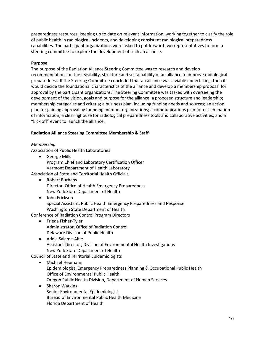preparedness resources, keeping up to date on relevant information, working together to clarify the role of public health in radiological incidents, and developing consistent radiological preparedness capabilities. The participant organizations were asked to put forward two representatives to form a steering committee to explore the development of such an alliance.

#### **Purpose**

The purpose of the Radiation Alliance Steering Committee was to research and develop recommendations on the feasibility, structure and sustainability of an alliance to improve radiological preparedness. If the Steering Committee concluded that an alliance was a viable undertaking, then it would decide the foundational characteristics of the alliance and develop a membership proposal for approval by the participant organizations. The Steering Committee was tasked with overseeing the development of the vision, goals and purpose for the alliance; a proposed structure and leadership; membership categories and criteria; a business plan, including funding needs and sources; an action plan for gaining approval by founding member organizations; a communications plan for dissemination of information; a clearinghouse for radiological preparedness tools and collaborative activities; and a "kick off" event to launch the alliance.

#### **Radiation Alliance Steering Committee Membership & Staff**

#### *Membership*

Association of Public Health Laboratories

• George Mills Program Chief and Laboratory Certification Officer Vermont Department of Health Laboratory

Association of State and Territorial Health Officials

- Robert Burhans Director, Office of Health Emergency Preparedness New York State Department of Health
- John Erickson Special Assistant, Public Health Emergency Preparedness and Response Washington State Department of Health

Conference of Radiation Control Program Directors

- Frieda Fisher-Tyler Administrator, Office of Radiation Control Delaware Division of Public Health
- Adela Salame-Alfie Assistant Director, Division of Environmental Health Investigations New York State Department of Health

#### Council of State and Territorial Epidemiologists

- Michael Heumann Epidemiologist, Emergency Preparedness Planning & Occupational Public Health Office of Environmental Public Health Oregon Public Health Division, Department of Human Services
- Sharon Watkins Senior Environmental Epidemiologist Bureau of Environmental Public Health Medicine Florida Department of Health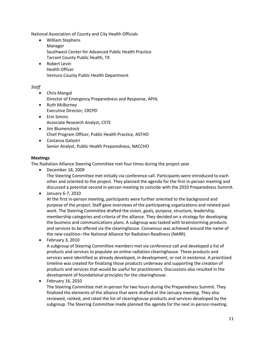National Association of County and City Health Officials

- William Stephens Manager Southwest Center for Advanced Public Health Practice Tarrant County Public Health, TX
- Robert Levin Health Officer Ventura County Public Health Department

#### *Staff*

- Chris Mangal Director of Emergency Preparedness and Response, APHL
- Ruth McBurney Executive Director, CRCPD
- Erin Simms Associate Research Analyst, CSTE
- Jim Blumenstock Chief Program Officer, Public Health Practice, ASTHO
- Costanza Galastri Senior Analyst, Public Health Preparedness, NACCHO

#### **Meetings**

The Radiation Alliance Steering Committee met four times during the project year.

• December 18, 2009

The Steering Committee met initially via conference call. Participants were introduced to each other and oriented to the project. They planned the agenda for the first in-person meeting and discussed a potential second in-person meeting to coincide with the 2010 Preparedness Summit.

• January 6-7, 2010

At the first in-person meeting, participants were further oriented to the background and purpose of the project. Staff gave overviews of the participating organizations and related past work. The Steering Committee drafted the vision, goals, purpose, structure, leadership, membership categories and criteria of the alliance. They decided on a strategy for developing the business and communications plans. A subgroup was tasked with brainstorming products and services to be offered via the clearinghouse. Consensus was achieved around the name of the new coalition--the National Alliance for Radiation Readiness (NARR).

• February 3, 2010

A subgroup of Steering Committee members met via conference call and developed a list of products and services to populate an online radiation clearinghouse. These products and services were identified as already developed, in development, or not in existence. A prioritized timeline was created for finalizing those products underway and supporting the creation of products and services that would be useful for practitioners. Discussions also resulted in the development of foundational principles for the clearinghouse.

• February 16, 2010

The Steering Committee met in-person for two hours during the Preparedness Summit. They finalized the elements of the alliance that were drafted at the January meeting. They also reviewed, ranked, and rated the list of clearinghouse products and services developed by the subgroup. The Steering Committee made planned the agenda for the next in-person meeting.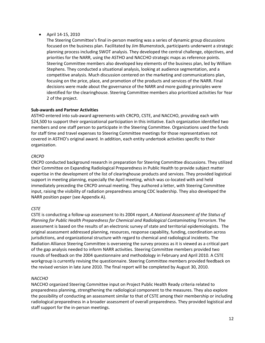• April 14-15, 2010

The Steering Committee's final in-person meeting was a series of dynamic group discussions focused on the business plan. Facilitated by Jim Blumenstock, participants underwent a strategic planning process including SWOT analysis. They developed the central challenge, objectives, and priorities for the NARR, using the ASTHO and NACCHO strategic maps as reference points. Steering Committee members also developed key elements of the business plan, led by William Stephens. They conducted a situational analysis, looking at audience segmentation, and a competitive analysis. Much discussion centered on the marketing and communications plan, focusing on the price, place, and promotion of the products and services of the NARR. Final decisions were made about the governance of the NARR and more guiding principles were identified for the clearinghouse. Steering Committee members also prioritized activities for Year 2 of the project.

#### **Sub-awards and Partner Activities**

ASTHO entered into sub-award agreements with CRCPD, CSTE, and NACCHO, providing each with \$24,500 to support their organizational participation in this initiative. Each organization identified two members and one staff person to participate in the Steering Committee. Organizations used the funds for staff time and travel expenses to Steering Committee meetings for those representatives not covered in ASTHO's original award. In addition, each entity undertook activities specific to their organization.

#### *CRCPD*

CRCPD conducted background research in preparation for Steering Committee discussions. They utilized their Committee on Expanding Radiological Preparedness in Public Health to provide subject matter expertise in the development of the list of clearinghouse products and services. They provided logistical support in meeting planning, especially the April meeting, which was co-located with and held immediately preceding the CRCPD annual meeting. They authored a letter, with Steering Committee input, raising the visibility of radiation preparedness among CDC leadership. They also developed the NARR position paper (see Appendix A).

#### *CSTE*

CSTE is conducting a follow-up assessment to its 2004 report, *A National Assessment of the Status of Planning for Public Health Preparedness for Chemical and Radiological Contaminating Terrorism*. The assessment is based on the results of an electronic survey of state and territorial epidemiologists. The original assessment addressed planning, resources, response capability, funding, coordination across jurisdictions, and organizational structure with regard to chemical and radiological incidents. The Radiation Alliance Steering Committee is overseeing the survey process as it is viewed as a critical part of the gap analysis needed to inform NARR activities. Steering Committee members provided two rounds of feedback on the 2004 questionnaire and methodology in February and April 2010. A CSTE workgroup is currently revising the questionnaire. Steering Committee members provided feedback on the revised version in late June 2010. The final report will be completed by August 30, 2010.

#### *NACCHO*

NACCHO organized Steering Committee input on Project Public Health Ready criteria related to preparedness planning, strengthening the radiological component to the measures. They also explore the possibility of conducting an assessment similar to that of CSTE among their membership or including radiological preparedness in a broader assessment of overall preparedness. They provided logistical and staff support for the in-person meetings.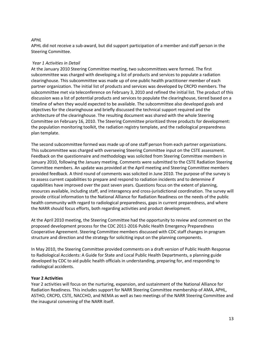#### *APHL*

APHL did not receive a sub-award, but did support participation of a member and staff person in the Steering Committee.

#### *Year 1 Activities in Detail*

At the January 2010 Steering Committee meeting, two subcommittees were formed. The first subcommittee was charged with developing a list of products and services to populate a radiation clearinghouse. This subcommittee was made up of one public health practitioner member of each partner organization. The initial list of products and services was developed by CRCPD members. The subcommittee met via teleconference on February 3, 2010 and refined the initial list. The product of this discussion was a list of potential products and services to populate the clearinghouse, tiered based on a timeline of when they would expected to be available. The subcommittee also developed goals and objectives for the clearinghouse and briefly discussed the technical support required and the architecture of the clearinghouse. The resulting document was shared with the whole Steering Committee on February 16, 2010. The Steering Committee prioritized three products for development: the population monitoring toolkit, the radiation registry template, and the radiological preparedness plan template.

The second subcommittee formed was made up of one staff person from each partner organizations. This subcommittee was charged with overseeing Steering Committee input on the CSTE assessment. Feedback on the questionnaire and methodology was solicited from Steering Committee members in January 2010, following the January meeting. Comments were submitted to the CSTE Radiation Steering Committee members. An update was provided at the April meeting and Steering Committee members provided feedback. A third round of comments was solicited in June 2010. The purpose of the survey is to assess current capabilities to prepare and respond to radiation incidents and to determine if capabilities have improved over the past seven years. Questions focus on the extent of planning, resources available, including staff, and interagency and cross-jurisdictional coordination. The survey will provide critical information to the National Alliance for Radiation Readiness on the needs of the public health community with regard to radiological preparedness, gaps in current preparedness, and where the NARR should focus efforts, both regarding activities and product development.

At the April 2010 meeting, the Steering Committee had the opportunity to review and comment on the proposed development process for the CDC 2011-2016 Public Health Emergency Preparedness Cooperative Agreement. Steering Committee members discussed with CDC staff changes in program structure and direction and the strategy for soliciting input on the planning components.

In May 2010, the Steering Committee provided comments on a draft version of Public Health Response to Radiological Accidents: A Guide for State and Local Public Health Departments, a planning guide developed by CDC to aid public health officials in understanding, preparing for, and responding to radiological accidents.

#### **Year 2 Activities**

Year 2 activities will focus on the nurturing, expansion, and sustainment of the National Alliance for Radiation Readiness. This includes support for NARR Steering Committee membership of AMA, APHL, ASTHO, CRCPD, CSTE, NACCHO, and NEMA as well as two meetings of the NARR Steering Committee and the inaugural convening of the NARR itself.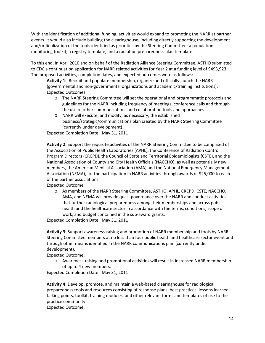With the identification of additional funding, activities would expand to promoting the NARR at partner events. It would also include building the clearinghouse, including directly supporting the development and/or finalization of the tools identified as priorities by the Steering Committee: a population monitoring toolkit, a registry template, and a radiation preparedness plan template.

To this end, in April 2010 and on behalf of the Radiation Alliance Steering Committee, ASTHO submitted to CDC a continuation application for NARR related activities for Year 2 at a funding level of \$493,923. The proposed activities, completion dates, and expected outcomes were as follows:

**Activity 1:** Recruit and populate membership, organize and officially launch the NARR (governmental and non-governmental organizations and academic/training institutions). Expected Outcomes:

- o The NARR Steering Committee will set the operational and programmatic protocols and guidelines for the NARR including frequency of meetings, conference calls and through the use of other communications and collaboration tools and approaches.
- o NARR will execute, and modify, as necessary, the established business/strategic/communications plan created by the NARR Steering Committee (currently under development).

Expected Completion Date: May 31, 2011

**Activity 2:** Support the requisite activities of the NARR Steering Committee to be comprised of the Association of Public Health Laboratories (APHL), the Conference of Radiation Control Program Directors (CRCPD), the Council of State and Territorial Epidemiologists (CSTE), and the National Association of County and City Health Officials (NACCHO), as well as potentially new members, the American Medical Association (AMA) and the National Emergency Management Association (NEMA), for the participation in NARR activities through awards of \$25,000 to each of the partner associations.

Expected Outcome:

o As members of the NARR Steering Committee, ASTHO, APHL, CRCPD, CSTE, NACCHO, AMA, and NEMA will provide quasi-governance over the NARR and conduct activities that further radiological preparedness among their memberships and across public health and the healthcare sector in accordance with the terms, conditions, scope of work, and budget contained in the sub-award grants.

Expected Completion Date: May 31, 2011

**Activity 3:** Support awareness-raising and promotion of NARR membership and tools by NARR Steering Committee members at no less than four public health and healthcare sector event and through other means identified in the NARR communications plan (currently under development).

Expected Outcome:

o Awareness-raising and promotional activities will result in increased NARR membership of up to 4 new members.

Expected Completion Date: May 31, 2011

**Activity 4:** Develop, promote, and maintain a web-based clearinghouse for radiological preparedness tools and resources consisting of response plans, best practices, lessons learned, talking points, toolkit, training modules, and other relevant forms and templates of use to the practice community.

Expected Outcome: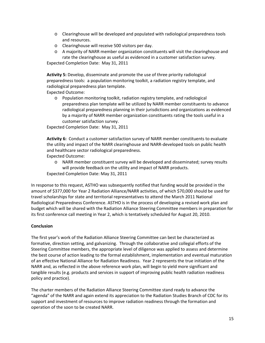- o Clearinghouse will be developed and populated with radiological preparedness tools and resources.
- o Clearinghouse will receive 500 visitors per day.
- o A majority of NARR member organization constituents will visit the clearinghouse and rate the clearinghouse as useful as evidenced in a customer satisfaction survey.

Expected Completion Date: May 31, 2011

**Activity 5:** Develop, disseminate and promote the use of three priority radiological preparedness tools: a population monitoring toolkit, a radiation registry template, and radiological preparedness plan template.

Expected Outcome:

o Population monitoring toolkit, radiation registry template, and radiological preparedness plan template will be utilized by NARR member constituents to advance radiological preparedness planning in their jurisdictions and organizations as evidenced by a majority of NARR member organization constituents rating the tools useful in a customer satisfaction survey.

Expected Completion Date: May 31, 2011

**Activity 6:** Conduct a customer satisfaction survey of NARR member constituents to evaluate the utility and impact of the NARR clearinghouse and NARR-developed tools on public health and healthcare sector radiological preparedness.

Expected Outcome:

o NARR member constituent survey will be developed and disseminated; survey results will provide feedback on the utility and impact of NARR products. Expected Completion Date: May 31, 2011

In response to this request, ASTHO was subsequently notified that funding would be provided in the amount of \$377,000 for Year 2 Radiation Alliance/NARR activities, of which \$70,000 should be used for travel scholarships for state and territorial representatives to attend the March 2011 National Radiological Preparedness Conference. ASTHO is in the process of developing a revised work plan and budget which will be shared with the Radiation Alliance Steering Committee members in preparation for its first conference call meeting in Year 2, which is tentatively scheduled for August 20, 2010.

#### **Conclusion**

The first year's work of the Radiation Alliance Steering Committee can best be characterized as formative, direction setting, and galvanizing. Through the collaborative and collegial efforts of the Steering Committee members, the appropriate level of diligence was applied to assess and determine the best course of action leading to the formal establishment, implementation and eventual maturation of an effective National Alliance for Radiation Readiness. Year 2 represents the true initiation of the NARR and, as reflected in the above reference work plan, will begin to yield more significant and tangible results (e.g. products and services in support of improving public health radiation readiness policy and practice).

The charter members of the Radiation Alliance Steering Committee stand ready to advance the "agenda" of the NARR and again extend its appreciation to the Radiation Studies Branch of CDC for its support and investment of resources to improve radiation readiness through the formation and operation of the soon to be created NARR.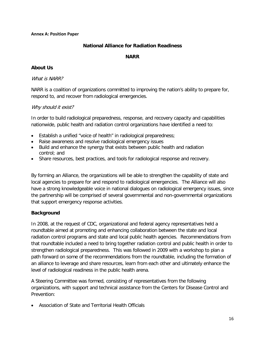#### **Annex A: Position Paper**

#### **National Alliance for Radiation Readiness**

#### **NARR**

#### **About Us**

#### What is NARR?

NARR is a coalition of organizations committed to improving the nation's ability to prepare for, respond to, and recover from radiological emergencies.

#### Why should it exist?

In order to build radiological preparedness, response, and recovery capacity and capabilities nationwide, public health and radiation control organizations have identified a need to:

- Establish a unified "voice of health" in radiological preparedness;
- Raise awareness and resolve radiological emergency issues
- Build and enhance the synergy that exists between public health and radiation control; and
- Share resources, best practices, and tools for radiological response and recovery.

By forming an Alliance, the organizations will be able to strengthen the capability of state and local agencies to prepare for and respond to radiological emergencies. The Alliance will also have a strong knowledgeable voice in national dialogues on radiological emergency issues, since the partnership will be comprised of several governmental and non-governmental organizations that support emergency response activities.

#### **Background**

In 2008, at the request of CDC, organizational and federal agency representatives held a roundtable aimed at promoting and enhancing collaboration between the state and local radiation control programs and state and local public health agencies. Recommendations from that roundtable included a need to bring together radiation control and public health in order to strengthen radiological preparedness. This was followed in 2009 with a workshop to plan a path forward on some of the recommendations from the roundtable, including the formation of an alliance to leverage and share resources, learn from each other and ultimately enhance the level of radiological readiness in the public health arena.

A Steering Committee was formed, consisting of representatives from the following organizations, with support and technical assistance from the Centers for Disease Control and Prevention:

• Association of State and Territorial Health Officials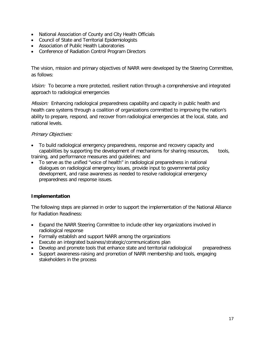- National Association of County and City Health Officials
- Council of State and Territorial Epidemiologists
- Association of Public Health Laboratories
- Conference of Radiation Control Program Directors

The vision, mission and primary objectives of NARR were developed by the Steering Committee, as follows:

Vision: To become a more protected, resilient nation through a comprehensive and integrated approach to radiological emergencies

*Mission:* Enhancing radiological preparedness capability and capacity in public health and health care systems through a coalition of organizations committed to improving the nation's ability to prepare, respond, and recover from radiological emergencies at the local, state, and national levels.

#### Primary Objectives:

- To build radiological emergency preparedness, response and recovery capacity and capabilities by supporting the development of mechanisms for sharing resources, tools, training, and performance measures and guidelines; and
- To serve as the unified "voice of health" in radiological preparedness in national dialogues on radiological emergency issues, provide input to governmental policy development, and raise awareness as needed to resolve radiological emergency preparedness and response issues.

#### **Implementation**

The following steps are planned in order to support the implementation of the National Alliance for Radiation Readiness:

- Expand the NARR Steering Committee to include other key organizations involved in radiological response
- Formally establish and support NARR among the organizations
- Execute an integrated business/strategic/communications plan
- Develop and promote tools that enhance state and territorial radiological preparedness
- Support awareness-raising and promotion of NARR membership and tools, engaging stakeholders in the process